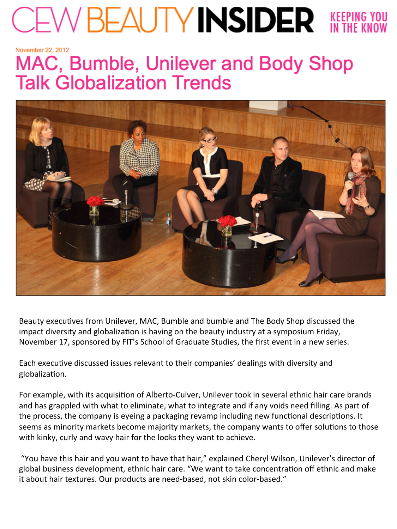## $E_{\text{F}}\text{D}W$   $E_{\text{F}}$   $E_{\text{F}}$   $E_{\text{F}}$   $E_{\text{F}}$   $E_{\text{F}}$   $E_{\text{F}}$   $E_{\text{F}}$   $E_{\text{F}}$   $E_{\text{F}}$   $E_{\text{F}}$   $E_{\text{F}}$   $E_{\text{F}}$   $E_{\text{F}}$   $E_{\text{F}}$   $E_{\text{F}}$   $E_{\text{F}}$   $E_{\text{F}}$   $E_{\text{F}}$   $E_{\text{F}}$   $E_{\text{F}}$   $E_{\text$

November 22, 2012

## MAC, Bumble, Unilever and Body Shop **Talk Globalization Trends**



Beauty executives from Unilever, MAC, Bumble and bumble and The Body Shop discussed the impact diversity and globalization is having on the beauty industry at a symposium Friday, November 17, sponsored by FIT's School of Graduate Studies, the first event in a new series.

Each executive discussed issues relevant to their companies' dealings with diversity and globalization.

For example, with its acquisition of Alberto-Culver, Unilever took in several ethnic hair care brands and has grappled with what to eliminate, what to integrate and if any voids need filling. As part of the process, the company is eyeing a packaging revamp including new functional descriptions. It seems as minority markets become majority markets, the company wants to offer solutions to those with kinky, curly and wavy hair for the looks they want to achieve.

"You have this hair and you want to have that hair," explained Cheryl Wilson, Unilever's director of global business development, ethnic hair care. "We want to take concentration off ethnic and make it about hair textures. Our products are need-based, not skin color-based."